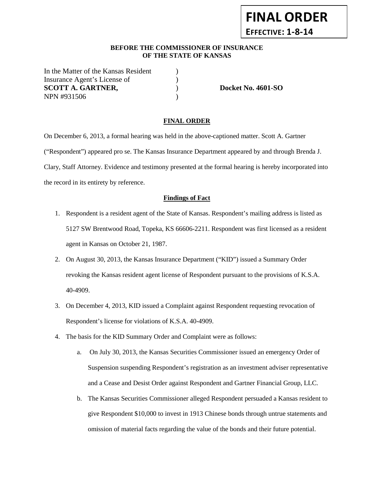### **BEFORE THE COMMISSIONER OF INSURANCE OF THE STATE OF KANSAS**

In the Matter of the Kansas Resident ) Insurance Agent's License of (1) **SCOTT A. GARTNER, SCOTT A. GARTNER, SCOTT A. GARTNER, SCOTT A. GARTNER, SCOTT A. GARTNER, SCOTT A. GARTNER, SCOTT A. GARTNER, SCOTT A. GARTNER, SCOTT A. GARTNER, SCOTT A. GARTNER, SCOTT A. GARTNER, SCOTT A. GARTNER, SCOTT** NPN #931506 )

**FINAL ORDER**

**EFFECTIVE: 1-8-14**

#### **FINAL ORDER**

On December 6, 2013, a formal hearing was held in the above-captioned matter. Scott A. Gartner ("Respondent") appeared pro se. The Kansas Insurance Department appeared by and through Brenda J. Clary, Staff Attorney. Evidence and testimony presented at the formal hearing is hereby incorporated into the record in its entirety by reference.

#### **Findings of Fact**

- 1. Respondent is a resident agent of the State of Kansas. Respondent's mailing address is listed as 5127 SW Brentwood Road, Topeka, KS 66606-2211. Respondent was first licensed as a resident agent in Kansas on October 21, 1987.
- 2. On August 30, 2013, the Kansas Insurance Department ("KID") issued a Summary Order revoking the Kansas resident agent license of Respondent pursuant to the provisions of K.S.A. 40-4909.
- 3. On December 4, 2013, KID issued a Complaint against Respondent requesting revocation of Respondent's license for violations of K.S.A. 40-4909.
- 4. The basis for the KID Summary Order and Complaint were as follows:
	- a. On July 30, 2013, the Kansas Securities Commissioner issued an emergency Order of Suspension suspending Respondent's registration as an investment adviser representative and a Cease and Desist Order against Respondent and Gartner Financial Group, LLC.
	- b. The Kansas Securities Commissioner alleged Respondent persuaded a Kansas resident to give Respondent \$10,000 to invest in 1913 Chinese bonds through untrue statements and omission of material facts regarding the value of the bonds and their future potential.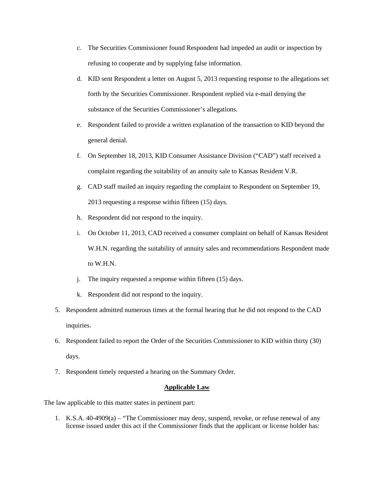- c. The Securities Commissioner found Respondent had impeded an audit or inspection by refusing to cooperate and by supplying false information.
- d. KID sent Respondent a letter on August 5, 2013 requesting response to the allegations set forth by the Securities Commissioner. Respondent replied via e-mail denying the substance of the Securities Commissioner's allegations.
- e. Respondent failed to provide a written explanation of the transaction to KID beyond the general denial.
- f. On September 18, 2013, KID Consumer Assistance Division ("CAD") staff received a complaint regarding the suitability of an annuity sale to Kansas Resident V.R.
- g. CAD staff mailed an inquiry regarding the complaint to Respondent on September 19, 2013 requesting a response within fifteen (15) days.
- h. Respondent did not respond to the inquiry.
- i. On October 11, 2013, CAD received a consumer complaint on behalf of Kansas Resident W.H.N. regarding the suitability of annuity sales and recommendations Respondent made to W.H.N.
- j. The inquiry requested a response within fifteen (15) days.
- k. Respondent did not respond to the inquiry.
- 5. Respondent admitted numerous times at the formal hearing that he did not respond to the CAD inquiries.
- 6. Respondent failed to report the Order of the Securities Commissioner to KID within thirty (30) days.
- 7. Respondent timely requested a hearing on the Summary Order.

### **Applicable Law**

The law applicable to this matter states in pertinent part:

1. K.S.A. 40-4909(a) – "The Commissioner may deny, suspend, revoke, or refuse renewal of any license issued under this act if the Commissioner finds that the applicant or license holder has: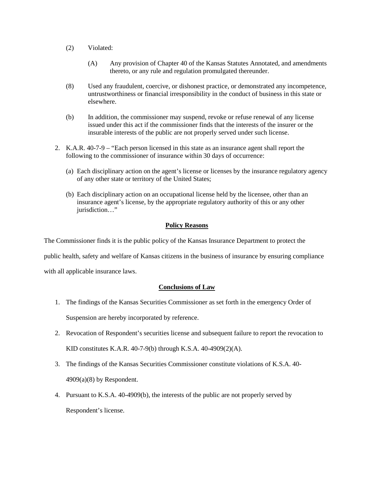- (2) Violated:
	- (A) Any provision of Chapter 40 of the Kansas Statutes Annotated, and amendments thereto, or any rule and regulation promulgated thereunder.
- (8) Used any fraudulent, coercive, or dishonest practice, or demonstrated any incompetence, untrustworthiness or financial irresponsibility in the conduct of business in this state or elsewhere.
- (b) In addition, the commissioner may suspend, revoke or refuse renewal of any license issued under this act if the commissioner finds that the interests of the insurer or the insurable interests of the public are not properly served under such license.
- 2. K.A.R. 40-7-9 "Each person licensed in this state as an insurance agent shall report the following to the commissioner of insurance within 30 days of occurrence:
	- (a) Each disciplinary action on the agent's license or licenses by the insurance regulatory agency of any other state or territory of the United States;
	- (b) Each disciplinary action on an occupational license held by the licensee, other than an insurance agent's license, by the appropriate regulatory authority of this or any other jurisdiction "

### **Policy Reasons**

The Commissioner finds it is the public policy of the Kansas Insurance Department to protect the

public health, safety and welfare of Kansas citizens in the business of insurance by ensuring compliance

with all applicable insurance laws.

### **Conclusions of Law**

- 1. The findings of the Kansas Securities Commissioner as set forth in the emergency Order of Suspension are hereby incorporated by reference.
- 2. Revocation of Respondent's securities license and subsequent failure to report the revocation to KID constitutes K.A.R. 40-7-9(b) through K.S.A. 40-4909(2)(A).
- 3. The findings of the Kansas Securities Commissioner constitute violations of K.S.A. 40-  $4909(a)(8)$  by Respondent.
- 4. Pursuant to K.S.A. 40-4909(b), the interests of the public are not properly served by Respondent's license.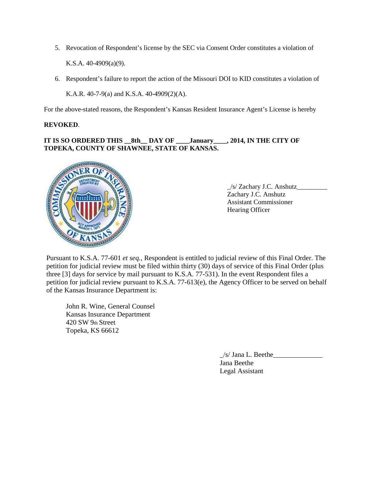5. Revocation of Respondent's license by the SEC via Consent Order constitutes a violation of

K.S.A. 40-4909(a)(9).

6. Respondent's failure to report the action of the Missouri DOI to KID constitutes a violation of

K.A.R. 40-7-9(a) and K.S.A. 40-4909(2)(A).

For the above-stated reasons, the Respondent's Kansas Resident Insurance Agent's License is hereby

### **REVOKED**.

# **IT IS SO ORDERED THIS \_\_8th\_\_ DAY OF \_\_\_\_January\_\_\_\_, 2014, IN THE CITY OF TOPEKA, COUNTY OF SHAWNEE, STATE OF KANSAS.**



\_/s/ Zachary J.C. Anshutz\_\_\_\_\_\_\_\_\_ Zachary J.C. Anshutz Assistant Commissioner Hearing Officer

Pursuant to K.S.A. 77-601 *et seq.*, Respondent is entitled to judicial review of this Final Order. The petition for judicial review must be filed within thirty (30) days of service of this Final Order (plus three [3] days for service by mail pursuant to K.S.A. 77-531). In the event Respondent files a petition for judicial review pursuant to K.S.A. 77-613(e), the Agency Officer to be served on behalf of the Kansas Insurance Department is:

John R. Wine, General Counsel Kansas Insurance Department 420 SW 9th Street Topeka, KS 66612

> $\angle$ s/ Jana L. Beethe $\angle$ Jana Beethe Legal Assistant